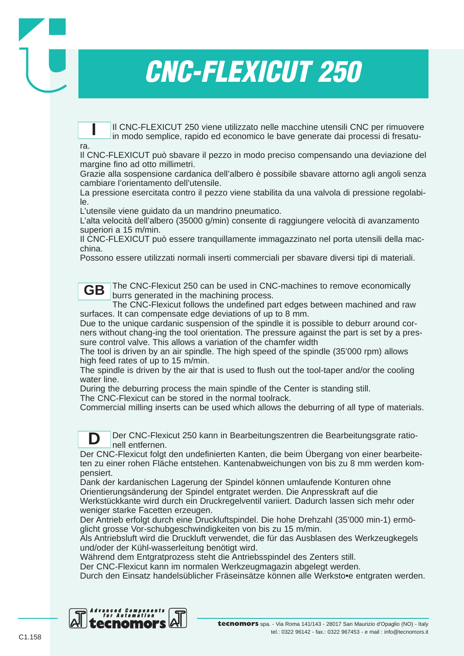Il CNC-FLEXICUT 250 viene utilizzato nelle macchine utensili CNC per rimuovere in modo semplice, rapido ed economico le bave generate dai processi di fresatu-**I**

### ra.

**D**

Il CNC-FLEXICUT può sbavare il pezzo in modo preciso compensando una deviazione del margine fino ad otto millimetri.

Grazie alla sospensione cardanica dell'albero è possibile sbavare attorno agli angoli senza cambiare l'orientamento dell'utensile.

La pressione esercitata contro il pezzo viene stabilita da una valvola di pressione regolabile.

L'utensile viene guidato da un mandrino pneumatico.

L'alta velocità dell'albero (35000 g/min) consente di raggiungere velocità di avanzamento superiori a 15 m/min.

Il CNC-FLEXICUT può essere tranquillamente immagazzinato nel porta utensili della macchina.

Possono essere utilizzati normali inserti commerciali per sbavare diversi tipi di materiali.

The CNC-Flexicut 250 can be used in CNC-machines to remove economically burrs generated in the machining process. **GB**

The CNC-Flexicut follows the undefined part edges between machined and raw surfaces. It can compensate edge deviations of up to 8 mm.

Due to the unique cardanic suspension of the spindle it is possible to deburr around corners without chang-ing the tool orientation. The pressure against the part is set by a pressure control valve. This allows a variation of the chamfer width

The tool is driven by an air spindle. The high speed of the spindle (35'000 rpm) allows high feed rates of up to 15 m/min.

The spindle is driven by the air that is used to flush out the tool-taper and/or the cooling water line.

During the deburring process the main spindle of the Center is standing still.

The CNC-Flexicut can be stored in the normal toolrack.

Commercial milling inserts can be used which allows the deburring of all type of materials.

Der CNC-Flexicut 250 kann in Bearbeitungszentren die Bearbeitungsgrate rationell entfernen.

Der CNC-Flexicut folgt den undefinierten Kanten, die beim Übergang von einer bearbeiteten zu einer rohen Fläche entstehen. Kantenabweichungen von bis zu 8 mm werden kompensiert.

Dank der kardanischen Lagerung der Spindel können umlaufende Konturen ohne Orientierungsänderung der Spindel entgratet werden. Die Anpresskraft auf die Werkstückkante wird durch ein Druckregelventil variiert. Dadurch lassen sich mehr oder weniger starke Facetten erzeugen.

Der Antrieb erfolgt durch eine Druckluftspindel. Die hohe Drehzahl (35'000 min-1) ermöglicht grosse Vor-schubgeschwindigkeiten von bis zu 15 m/min.

Als Antriebsluft wird die Druckluft verwendet, die für das Ausblasen des Werkzeugkegels und/oder der Kühl-wasserleitung benötigt wird.

Während dem Entgratprozess steht die Antriebsspindel des Zenters still.

Der CNC-Flexicut kann im normalen Werkzeugmagazin abgelegt werden.

Durch den Einsatz handelsüblicher Fräseinsätze können alle Werksto•e entgraten werden.

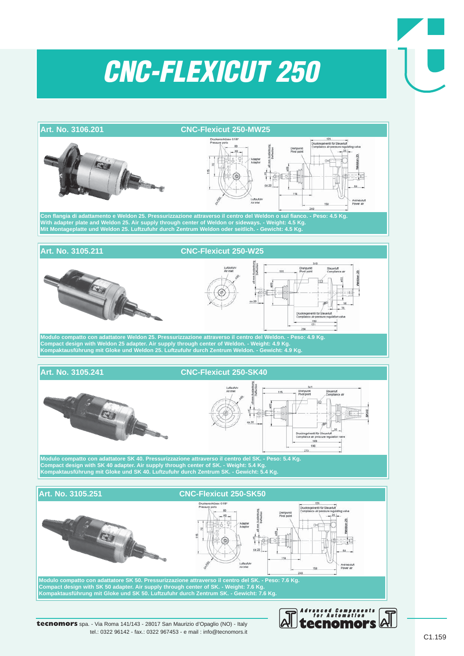

tel.: 0322 96142 - fax.: 0322 967453 - e mail : info@tecnomors.it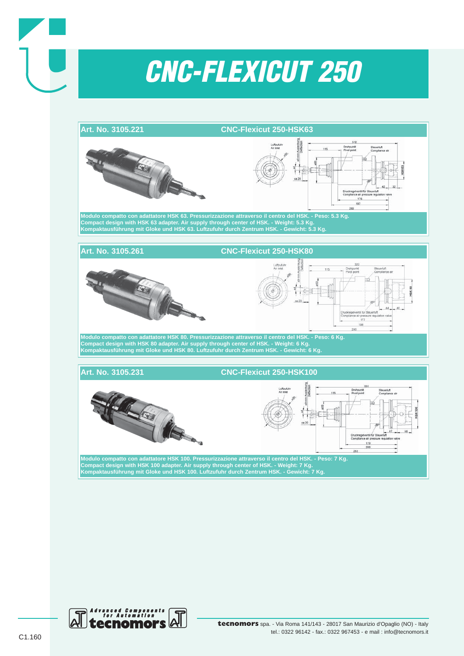